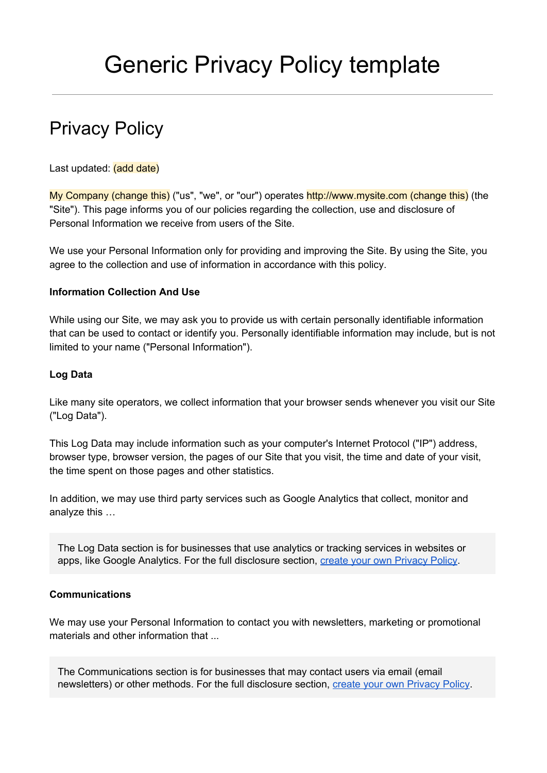# Privacy Policy

Last updated: (add date)

My Company (change this) ("us", "we", or "our") operates http://www.mysite.com (change this) (the "Site"). This page informs you of our policies regarding the collection, use and disclosure of Personal Information we receive from users of the Site.

We use your Personal Information only for providing and improving the Site. By using the Site, you agree to the collection and use of information in accordance with this policy.

## **Information Collection And Use**

While using our Site, we may ask you to provide us with certain personally identifiable information that can be used to contact or identify you. Personally identifiable information may include, but is not limited to your name ("Personal Information").

### **Log Data**

Like many site operators, we collect information that your browser sends whenever you visit our Site ("Log Data").

This Log Data may include information such as your computer's Internet Protocol ("IP") address, browser type, browser version, the pages of our Site that you visit, the time and date of your visit, the time spent on those pages and other statistics.

In addition, we may use third party services such as Google Analytics that collect, monitor and analyze this …

The Log Data section is for businesses that use analytics or tracking services in websites or apps, like Google Analytics. For the full disclosure section, create your own [Privacy](https://termsfeed.com/privacy-policy/generator/?utm_source=Generic&utm_medium=PDF&utm_campaign=PP+Templates&utm_nooverride=1) Policy.

## **Communications**

We may use your Personal Information to contact you with newsletters, marketing or promotional materials and other information that ...

The Communications section is for businesses that may contact users via email (email newsletters) or other methods. For the full disclosure section, create your own [Privacy](https://termsfeed.com/privacy-policy/generator/?utm_source=Generic&utm_medium=PDF&utm_campaign=PP+Templates&utm_nooverride=1) Policy.